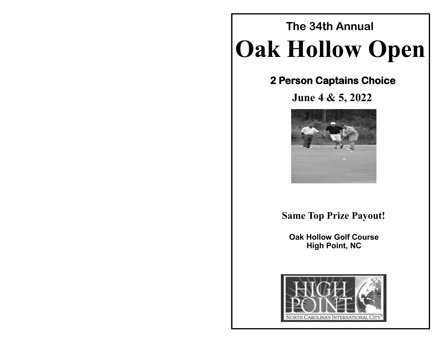# **Oak Hollow Open The 34th Annual**

## **2 Person Captains Choice**

**June 4 & 5, 2022**



## **Same Top Prize Payout!**

**Oak Hollow Golf Course High Point, NC**